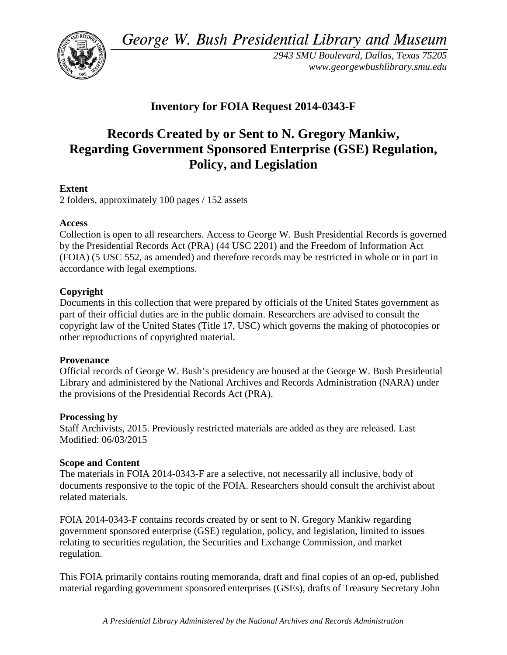*George W. Bush Presidential Library and Museum*



*2943 SMU Boulevard, Dallas, Texas 75205 www.georgewbushlibrary.smu.edu*

## **Inventory for FOIA Request 2014-0343-F**

# **Records Created by or Sent to N. Gregory Mankiw, Regarding Government Sponsored Enterprise (GSE) Regulation, Policy, and Legislation**

## **Extent**

2 folders, approximately 100 pages / 152 assets

### **Access**

Collection is open to all researchers. Access to George W. Bush Presidential Records is governed by the Presidential Records Act (PRA) (44 USC 2201) and the Freedom of Information Act (FOIA) (5 USC 552, as amended) and therefore records may be restricted in whole or in part in accordance with legal exemptions.

### **Copyright**

Documents in this collection that were prepared by officials of the United States government as part of their official duties are in the public domain. Researchers are advised to consult the copyright law of the United States (Title 17, USC) which governs the making of photocopies or other reproductions of copyrighted material.

### **Provenance**

Official records of George W. Bush's presidency are housed at the George W. Bush Presidential Library and administered by the National Archives and Records Administration (NARA) under the provisions of the Presidential Records Act (PRA).

### **Processing by**

Staff Archivists, 2015. Previously restricted materials are added as they are released. Last Modified: 06/03/2015

### **Scope and Content**

The materials in FOIA 2014-0343-F are a selective, not necessarily all inclusive, body of documents responsive to the topic of the FOIA. Researchers should consult the archivist about related materials.

FOIA 2014-0343-F contains records created by or sent to N. Gregory Mankiw regarding government sponsored enterprise (GSE) regulation, policy, and legislation, limited to issues relating to securities regulation, the Securities and Exchange Commission, and market regulation.

This FOIA primarily contains routing memoranda, draft and final copies of an op-ed, published material regarding government sponsored enterprises (GSEs), drafts of Treasury Secretary John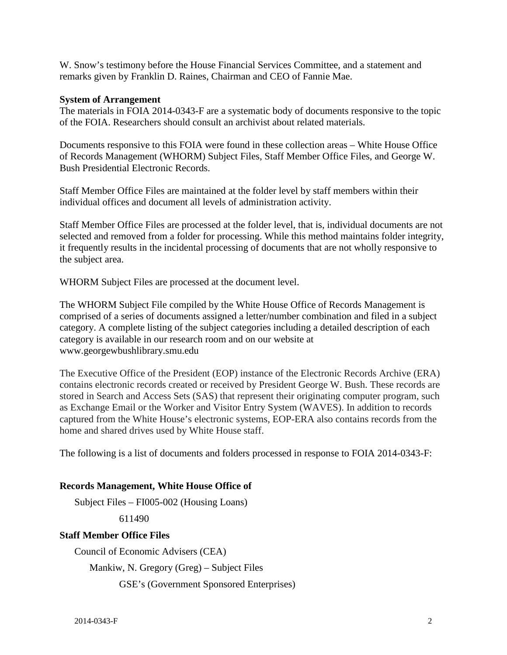W. Snow's testimony before the House Financial Services Committee, and a statement and remarks given by Franklin D. Raines, Chairman and CEO of Fannie Mae.

#### **System of Arrangement**

The materials in FOIA 2014-0343-F are a systematic body of documents responsive to the topic of the FOIA. Researchers should consult an archivist about related materials.

Documents responsive to this FOIA were found in these collection areas – White House Office of Records Management (WHORM) Subject Files, Staff Member Office Files, and George W. Bush Presidential Electronic Records.

Staff Member Office Files are maintained at the folder level by staff members within their individual offices and document all levels of administration activity.

Staff Member Office Files are processed at the folder level, that is, individual documents are not selected and removed from a folder for processing. While this method maintains folder integrity, it frequently results in the incidental processing of documents that are not wholly responsive to the subject area.

WHORM Subject Files are processed at the document level.

The WHORM Subject File compiled by the White House Office of Records Management is comprised of a series of documents assigned a letter/number combination and filed in a subject category. A complete listing of the subject categories including a detailed description of each category is available in our research room and on our website at www.georgewbushlibrary.smu.edu

The Executive Office of the President (EOP) instance of the Electronic Records Archive (ERA) contains electronic records created or received by President George W. Bush. These records are stored in Search and Access Sets (SAS) that represent their originating computer program, such as Exchange Email or the Worker and Visitor Entry System (WAVES). In addition to records captured from the White House's electronic systems, EOP-ERA also contains records from the home and shared drives used by White House staff.

The following is a list of documents and folders processed in response to FOIA 2014-0343-F:

#### **Records Management, White House Office of**

Subject Files – FI005-002 (Housing Loans)

611490

#### **Staff Member Office Files**

Council of Economic Advisers (CEA)

Mankiw, N. Gregory (Greg) – Subject Files

GSE's (Government Sponsored Enterprises)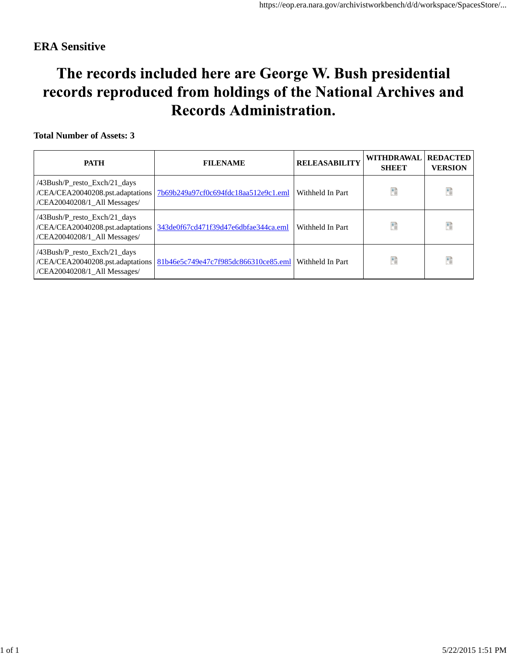# The records included here are George W. Bush presidential records reproduced from holdings of the National Archives and **Records Administration.**

| <b>PATH</b>                                                                                         | <b>FILENAME</b>                      | <b>RELEASABILITY</b> | WITHDRAWAL<br><b>SHEET</b> | <b>REDACTED</b><br><b>VERSION</b> |
|-----------------------------------------------------------------------------------------------------|--------------------------------------|----------------------|----------------------------|-----------------------------------|
| /43Bush/P_resto_Exch/21_days<br>/CEA/CEA20040208.pst.adaptations<br>/CEA20040208/1_All Messages/    | 7b69b249a97cf0c694fdc18aa512e9c1.eml | Withheld In Part     |                            |                                   |
| /43Bush/P_resto_Exch/21_days<br>/CEA/CEA20040208.pst.adaptations<br>/CEA20040208/1_All Messages/    | 343de0f67cd471f39d47e6dbfae344ca.eml | Withheld In Part     |                            | Ŧ                                 |
| $/43$ Bush/P resto Exch/21 days<br>/CEA/CEA20040208.pst.adaptations<br>/CEA20040208/1_All Messages/ | 81b46e5c749e47c7f985dc866310ce85.eml | Withheld In Part     |                            | Ŧ                                 |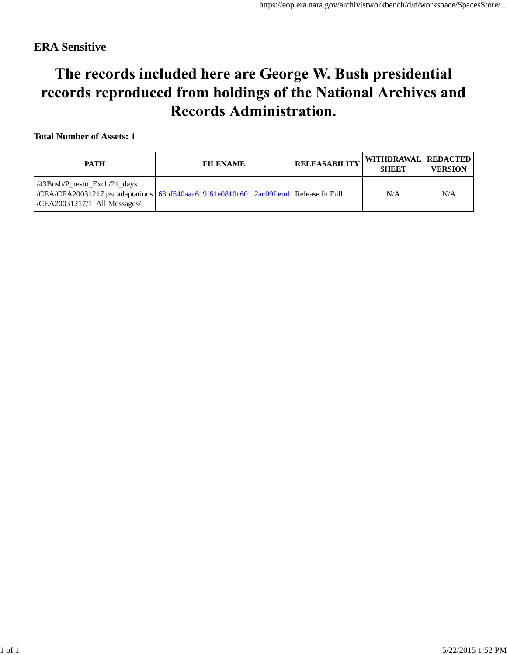# The records included here are George W. Bush presidential records reproduced from holdings of the National Archives and **Records Administration.**

| <b>PATH</b>                                                       | <b>FILENAME</b>                                                                       | <b>RELEASABILITY</b> | WITHDRAWAL REDACTED<br><b>SHEET</b> | <b>VERSION</b> |
|-------------------------------------------------------------------|---------------------------------------------------------------------------------------|----------------------|-------------------------------------|----------------|
| $/43Bush/P$ resto Exch $/21$ days<br>/CEA20031217/1_All Messages/ | /CEA/CEA20031217.pst.adaptations 63bf540aaa619f61e0810c601f2ac09f.eml Release In Full |                      | N/A                                 | N/A            |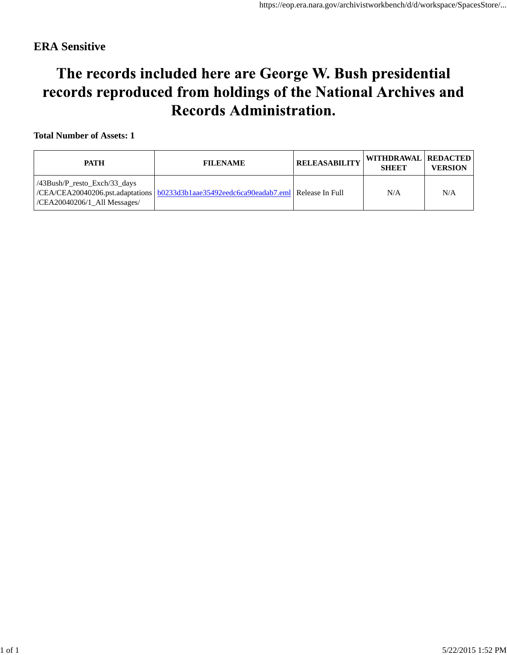# The records included here are George W. Bush presidential records reproduced from holdings of the National Archives and **Records Administration.**

| <b>PATH</b>                                                               | <b>FILENAME</b>                                                                        | <b>RELEASABILITY</b> | WITHDRAWAL REDACTED<br><b>SHEET</b> | <b>VERSION</b> |
|---------------------------------------------------------------------------|----------------------------------------------------------------------------------------|----------------------|-------------------------------------|----------------|
| $/43Bush/P$ resto Exch $/33$ days<br>$\vert$ /CEA20040206/1 All Messages/ | CEA/CEA20040206.pst.adaptations   b0233d3b1aae35492eedc6ca90eadab7.eml Release In Full |                      | N/A                                 | N/A            |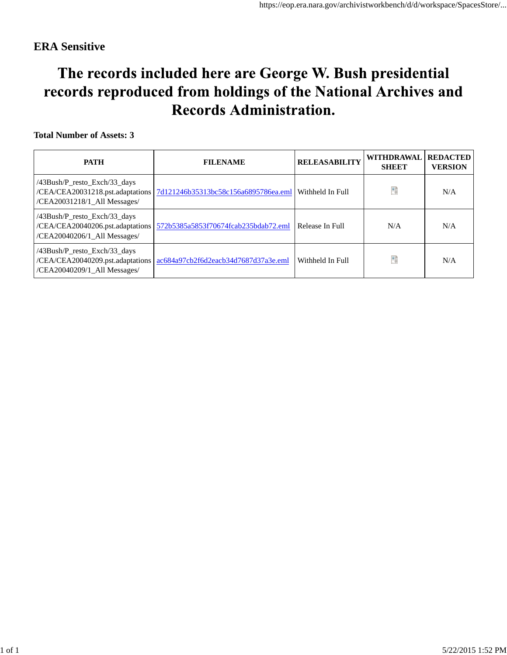# The records included here are George W. Bush presidential records reproduced from holdings of the National Archives and **Records Administration.**

| <b>PATH</b>                                                                                      | <b>FILENAME</b>                      | <b>RELEASABILITY</b> | <b>WITHDRAWAL</b><br><b>SHEET</b> | <b>REDACTED</b><br><b>VERSION</b> |
|--------------------------------------------------------------------------------------------------|--------------------------------------|----------------------|-----------------------------------|-----------------------------------|
| /43Bush/P_resto_Exch/33_days<br>/CEA/CEA20031218.pst.adaptations<br>/CEA20031218/1_All Messages/ | 7d121246b35313bc58c156a6895786ea.eml | Withheld In Full     | Ħ                                 | N/A                               |
| /43Bush/P_resto_Exch/33_days<br>/CEA/CEA20040206.pst.adaptations<br>/CEA20040206/1_All Messages/ | 572b5385a5853f70674fcab235bdab72.eml | Release In Full      | N/A                               | N/A                               |
| /43Bush/P_resto_Exch/33_days<br>/CEA/CEA20040209.pst.adaptations<br>/CEA20040209/1_All Messages/ | ac684a97cb2f6d2eacb34d7687d37a3e.eml | Withheld In Full     | Ħ                                 | N/A                               |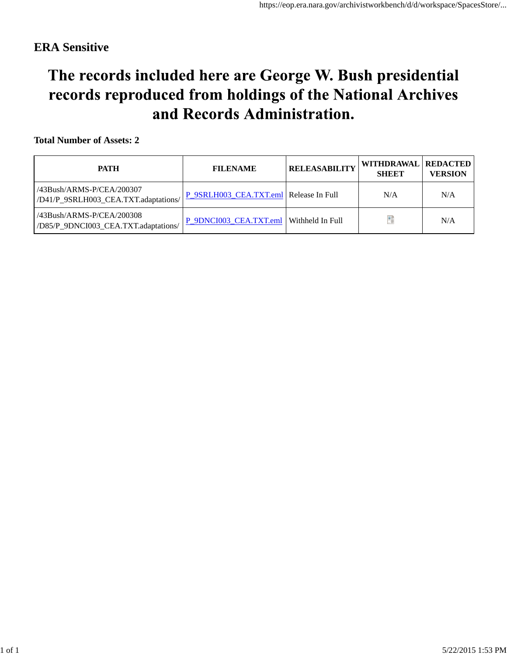# The records included here are George W. Bush presidential records reproduced from holdings of the National Archives and Records Administration.

| <b>PATH</b>                                                             | <b>FILENAME</b>                           | <b>RELEASABILITY</b> | WITHDRAWAL REDACTED<br><b>SHEET</b> | <b>VERSION</b> |
|-------------------------------------------------------------------------|-------------------------------------------|----------------------|-------------------------------------|----------------|
| /43Bush/ARMS-P/CEA/200307<br>/D41/P_9SRLH003_CEA.TXT.adaptations/       | P_9SRLH003_CEA.TXT.eml Release In Full    |                      | N/A                                 | N/A            |
| $/43$ Bush $/ARMS-P/CEA/200308$<br>/D85/P 9DNCI003 CEA.TXT.adaptations/ | P 9DNCI003 CEA.TXT.eml   Withheld In Full |                      |                                     | N/A            |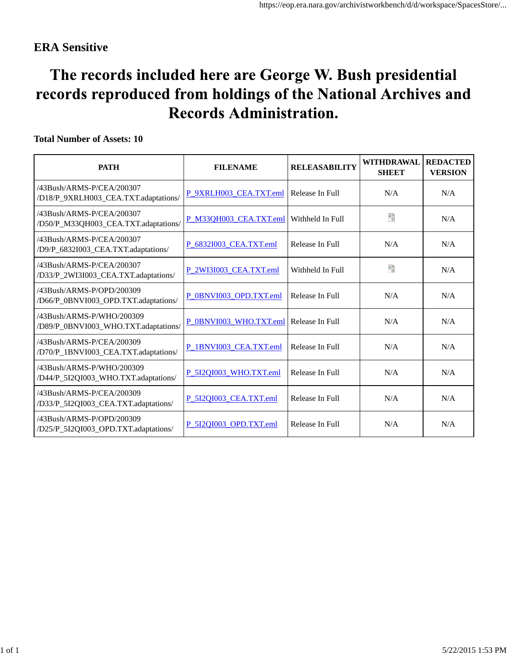# The records included here are George W. Bush presidential records reproduced from holdings of the National Archives and **Records Administration.**

| <b>PATH</b>                                                       | <b>FILENAME</b>        | <b>RELEASABILITY</b> | <b>WITHDRAWAL</b><br><b>SHEET</b> | <b>REDACTED</b><br><b>VERSION</b> |
|-------------------------------------------------------------------|------------------------|----------------------|-----------------------------------|-----------------------------------|
| /43Bush/ARMS-P/CEA/200307<br>/D18/P_9XRLH003_CEA.TXT.adaptations/ | P 9XRLH003 CEA.TXT.eml | Release In Full      | N/A                               | N/A                               |
| /43Bush/ARMS-P/CEA/200307<br>/D50/P_M33QH003_CEA.TXT.adaptations/ | P_M33QH003_CEA.TXT.eml | Withheld In Full     | Đ                                 | N/A                               |
| /43Bush/ARMS-P/CEA/200307<br>/D9/P_6832I003_CEA.TXT.adaptations/  | P 68321003 CEA.TXT.eml | Release In Full      | N/A                               | N/A                               |
| /43Bush/ARMS-P/CEA/200307<br>/D33/P_2WI3I003_CEA.TXT.adaptations/ | P 2WI3I003 CEA.TXT.eml | Withheld In Full     | 醋                                 | N/A                               |
| /43Bush/ARMS-P/OPD/200309<br>/D66/P_0BNVI003_OPD.TXT.adaptations/ | P 0BNVI003 OPD.TXT.eml | Release In Full      | N/A                               | N/A                               |
| /43Bush/ARMS-P/WHO/200309<br>/D89/P_0BNVI003_WHO.TXT.adaptations/ | P 0BNVI003 WHO.TXT.eml | Release In Full      | N/A                               | N/A                               |
| /43Bush/ARMS-P/CEA/200309<br>/D70/P_1BNVI003_CEA.TXT.adaptations/ | P 1BNVI003 CEA.TXT.eml | Release In Full      | N/A                               | N/A                               |
| /43Bush/ARMS-P/WHO/200309<br>/D44/P_5I2QI003_WHO.TXT.adaptations/ | P 5I2OI003 WHO.TXT.eml | Release In Full      | N/A                               | N/A                               |
| /43Bush/ARMS-P/CEA/200309<br>/D33/P_5I2QI003_CEA.TXT.adaptations/ | P 5I2QI003 CEA.TXT.eml | Release In Full      | N/A                               | N/A                               |
| /43Bush/ARMS-P/OPD/200309<br>/D25/P_5I2QI003_OPD.TXT.adaptations/ | P 5I2OI003 OPD.TXT.eml | Release In Full      | N/A                               | N/A                               |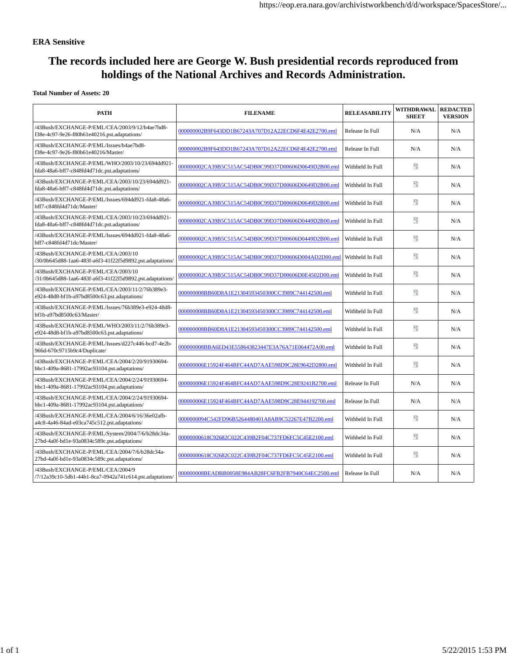## **The records included here are George W. Bush presidential records reproduced from holdings of the National Archives and Records Administration.**

| <b>PATH</b>                                                                                      | <b>FILENAME</b>                                      | <b>RELEASABILITY</b> | <b>WITHDRAWAL</b><br><b>SHEET</b> | <b>REDACTED</b><br><b>VERSION</b> |
|--------------------------------------------------------------------------------------------------|------------------------------------------------------|----------------------|-----------------------------------|-----------------------------------|
| /43Bush/EXCHANGE-P/EML/CEA/2003/9/12/b4ae7bd8-<br>f38e-4c97-9e26-f80b61e40216.pst.adaptations/   | 000000002B9F643DD1B67243A707D12A22ECD6F4E42E2700.eml | Release In Full      | N/A                               | N/A                               |
| /43Bush/EXCHANGE-P/EML/Issues/b4ae7bd8-<br>f38e-4c97-9e26-f80b61e40216/Master/                   | 000000002B9F643DD1B67243A707D12A22ECD6F4E42E2700.eml | Release In Full      | N/A                               | N/A                               |
| /43Bush/EXCHANGE-P/EML/WHO/2003/10/23/694dd921-<br>fda8-48a6-bff7-c848fd4d71dc.pst.adaptations/  | 000000002CA39B5C515AC54DB0C99D37D00606D0649D2B00.eml | Withheld In Full     | 50                                | N/A                               |
| /43Bush/EXCHANGE-P/EML/CEA/2003/10/23/694dd921-<br>fda8-48a6-bff7-c848fd4d71dc.pst.adaptations/  | 000000002CA39B5C515AC54DB0C99D37D00606D0649D2B00.eml | Withheld In Full     | 50                                | N/A                               |
| /43Bush/EXCHANGE-P/EML/Issues/694dd921-fda8-48a6-<br>bff7-c848fd4d71dc/Master/                   | 000000002CA39B5C515AC54DB0C99D37D00606D0649D2B00.eml | Withheld In Full     | 59                                | N/A                               |
| /43Bush/EXCHANGE-P/EML/CEA/2003/10/23/694dd921-<br>fda8-48a6-bff7-c848fd4d71dc.pst.adaptations/  | 000000002CA39B5C515AC54DB0C99D37D00606D0449D2B00.eml | Withheld In Full     | 醋                                 | N/A                               |
| /43Bush/EXCHANGE-P/EML/Issues/694dd921-fda8-48a6-<br>bff7-c848fd4d71dc/Master/                   | 000000002CA39B5C515AC54DB0C99D37D00606D0449D2B00.eml | Withheld In Full     | 醋                                 | N/A                               |
| /43Bush/EXCHANGE-P/EML/CEA/2003/10<br>/30/0b645d88-1aa6-483f-a6f3-41f22f5d9892.pst.adaptations/  | 000000002CA39B5C515AC54DB0C99D37D00606D004AD2D00.eml | Withheld In Full     | ֈ                                 | N/A                               |
| /43Bush/EXCHANGE-P/EML/CEA/2003/10<br>/31/0b645d88-1aa6-483f-a6f3-41f22f5d9892.pst.adaptations/  | 000000002CA39B5C515AC54DB0C99D37D00606D0E4502D00.eml | Withheld In Full     | 50                                | N/A                               |
| /43Bush/EXCHANGE-P/EML/CEA/2003/11/2/76b389e3-<br>e924-48d8-bf1b-a97bd8500c63.pst.adaptations/   | 000000008BB60D8A1E21304593450300CC3989C744142500.eml | Withheld In Full     | Рû                                | N/A                               |
| /43Bush/EXCHANGE-P/EML/Issues/76b389e3-e924-48d8-<br>bf1b-a97bd8500c63/Master/                   | 000000008BB60D8A1E21304593450300CC3989C744142500.eml | Withheld In Full     | 情                                 | N/A                               |
| /43Bush/EXCHANGE-P/EML/WHO/2003/11/2/76b389e3-<br>e924-48d8-bf1b-a97bd8500c63.pst.adaptations/   | 000000008BB60D8A1E21304593450300CC3989C744142500.eml | Withheld In Full     | 醋                                 | N/A                               |
| /43Bush/EXCHANGE-P/EML/Issues/d227c446-bcd7-4e2b-<br>966d-670c9715b9c4/Duplicate/                | 000000008BBA6ED43E558643823447E3A76A71E064472A00.eml | Withheld In Full     | 醋                                 | N/A                               |
| /43Bush/EXCHANGE-P/EML/CEA/2004/2/20/91930694-<br>bbc1-409a-8681-17992ac93104.pst.adaptations/   | 000000006E15924F464BFC44AD7AAE598D9C28E9642D2800.eml | Withheld In Full     | 醋                                 | N/A                               |
| /43Bush/EXCHANGE-P/EML/CEA/2004/2/24/91930694-<br>bbc1-409a-8681-17992ac93104.pst.adaptations/   | 000000006E15924F464BFC44AD7AAE598D9C28E9241B2700.eml | Release In Full      | N/A                               | N/A                               |
| /43Bush/EXCHANGE-P/EML/CEA/2004/2/24/91930694-<br>bbc1-409a-8681-17992ac93104.pst.adaptations/   | 000000006E15924F464BFC44AD7AAE598D9C28E944192700.eml | Release In Full      | N/A                               | N/A                               |
| /43Bush/EXCHANGE-P/EML/CEA/2004/6/16/36e02afb-<br>a4c8-4a46-84ad-e03ca745c512.pst.adaptations/   | 0000000094C542FD96B5264480401A8AB9C52267E47B2200.eml | Withheld In Full     | 醋                                 | N/A                               |
| /43Bush/EXCHANGE-P/EML/System/2004/7/6/b28dc34a-<br>27bd-4a0f-bd1e-93a0834c589c.pst.adaptations/ | 00000000618C92682C022C439B2F04C737FD6FC5C45E2100.eml | Withheld In Full     | 醋                                 | N/A                               |
| /43Bush/EXCHANGE-P/EML/CEA/2004/7/6/b28dc34a-<br>27bd-4a0f-bd1e-93a0834c589c.pst.adaptations/    | 00000000618C92682C022C439B2F04C737FD6FC5C45E2100.eml | Withheld In Full     | 50                                | N/A                               |
| /43Bush/EXCHANGE-P/EML/CEA/2004/9<br>/7/12a39c10-5db1-44b1-8ca7-0942a741c614.pst.adaptations/    | 000000008BEADBB0058E984AB28FC6FB2FB7940C64EC2500.eml | Release In Full      | N/A                               | N/A                               |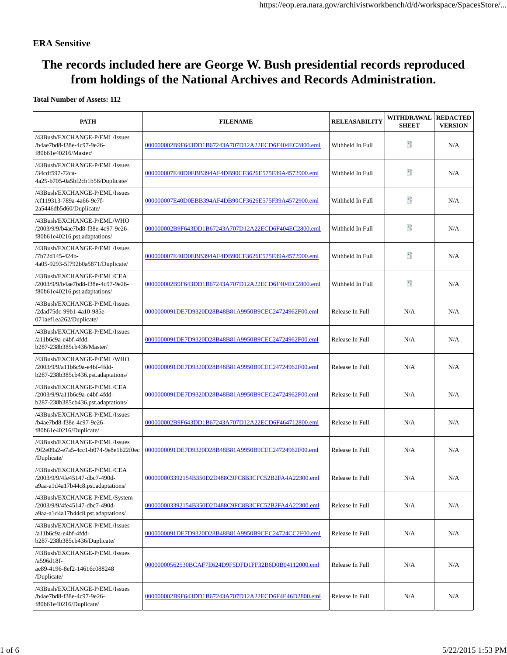## **The records included here are George W. Bush presidential records reproduced from holdings of the National Archives and Records Administration.**

| <b>PATH</b>                                                                                          | <b>FILENAME</b>                                      | <b>RELEASABILITY</b> | WITHDRAWAL<br><b>SHEET</b> | <b>REDACTED</b><br><b>VERSION</b> |
|------------------------------------------------------------------------------------------------------|------------------------------------------------------|----------------------|----------------------------|-----------------------------------|
| /43Bush/EXCHANGE-P/EML/Issues<br>/b4ae7bd8-f38e-4c97-9e26-<br>f80b61e40216/Master/                   | 000000002B9F643DD1B67243A707D12A22ECD6F404EC2800.eml | Withheld In Full     | 腊                          | N/A                               |
| /43Bush/EXCHANGE-P/EML/Issues<br>/34cdf597-72ca-<br>4a25-b705-0a5bf2cb1b56/Duplicate/                | 000000007E40D0EBB394AF4DB90CF3626E575F39A4572900.eml | Withheld In Full     | 暗                          | N/A                               |
| /43Bush/EXCHANGE-P/EML/Issues<br>/cf119313-789a-4a66-9e7f-<br>2a5446db5d60/Duplicate/                | 000000007E40D0EBB394AF4DB90CF3626E575F39A4572900.eml | Withheld In Full     | 醋                          | N/A                               |
| /43Bush/EXCHANGE-P/EML/WHO<br>/2003/9/9/b4ae7bd8-f38e-4c97-9e26-<br>f80b61e40216.pst.adaptations/    | 000000002B9F643DD1B67243A707D12A22ECD6F404EC2800.eml | Withheld In Full     | 腊                          | N/A                               |
| /43Bush/EXCHANGE-P/EML/Issues<br>/7b72d145-424b-<br>4a05-9293-5f792b0a5871/Duplicate/                | 000000007E40D0EBB394AF4DB90CF3626E575F39A4572900.eml | Withheld In Full     | P)                         | N/A                               |
| /43Bush/EXCHANGE-P/EML/CEA<br>/2003/9/9/b4ae7bd8-f38e-4c97-9e26-<br>f80b61e40216.pst.adaptations/    | 000000002B9F643DD1B67243A707D12A22ECD6F404EC2800.eml | Withheld In Full     | 醋                          | N/A                               |
| /43Bush/EXCHANGE-P/EML/Issues<br>/2dad75dc-99b1-4a10-985e-<br>071aef1ea262/Duplicate/                | 0000000091DE7D9320D28B48B81A9950B9CEC24724962F00.eml | Release In Full      | N/A                        | N/A                               |
| /43Bush/EXCHANGE-P/EML/Issues<br>/a11b6c9a-e4bf-4fdd-<br>b287-238b385cb436/Master/                   | 0000000091DE7D9320D28B48B81A9950B9CEC24724962F00.eml | Release In Full      | N/A                        | N/A                               |
| /43Bush/EXCHANGE-P/EML/WHO<br>/2003/9/9/a11b6c9a-e4bf-4fdd-<br>b287-238b385cb436.pst.adaptations/    | 0000000091DE7D9320D28B48B81A9950B9CEC24724962F00.eml | Release In Full      | N/A                        | N/A                               |
| /43Bush/EXCHANGE-P/EML/CEA<br>/2003/9/9/a11b6c9a-e4bf-4fdd-<br>b287-238b385cb436.pst.adaptations/    | 0000000091DE7D9320D28B48B81A9950B9CEC24724962F00.eml | Release In Full      | N/A                        | N/A                               |
| /43Bush/EXCHANGE-P/EML/Issues<br>/b4ae7bd8-f38e-4c97-9e26-<br>f80b61e40216/Duplicate/                | 000000002B9F643DD1B67243A707D12A22ECD6F464712800.eml | Release In Full      | N/A                        | N/A                               |
| /43Bush/EXCHANGE-P/EML/Issues<br>/9f2e09a2-e7a5-4cc1-b074-9e8e1b22f0ec<br>/Duplicate/                | 0000000091DE7D9320D28B48B81A9950B9CEC24724962F00.eml | Release In Full      | N/A                        | N/A                               |
| /43Bush/EXCHANGE-P/EML/CEA<br>/2003/9/9/4fe45147-dbc7-490d-<br>a9aa-a1d4a17b44c8.pst.adaptations/    | 000000003392154B350D2D488C9FC8B3CFC52B2FA4A22300.eml | Release In Full      | N/A                        | N/A                               |
| /43Bush/EXCHANGE-P/EML/System<br>/2003/9/9/4fe45147-dbc7-490d-<br>a9aa-a1d4a17b44c8.pst.adaptations/ | 000000003392154B350D2D488C9FC8B3CFC52B2FA4A22300.eml | Release In Full      | N/A                        | N/A                               |
| /43Bush/EXCHANGE-P/EML/Issues<br>/a11b6c9a-e4bf-4fdd-<br>b287-238b385cb436/Duplicate/                | 000000091DE7D9320D28B48B81A9950B9CEC24724CC2F00.eml  | Release In Full      | N/A                        | N/A                               |
| /43Bush/EXCHANGE-P/EML/Issues<br>/a596d18f-<br>ae89-4196-8ef2-14616c088248<br>/Duplicate/            | 00000000562530BCAF7E624D9F5DFD1FF32B6D0B04112000.eml | Release In Full      | N/A                        | N/A                               |
| /43Bush/EXCHANGE-P/EML/Issues<br>/b4ae7bd8-f38e-4c97-9e26-<br>f80b61e40216/Duplicate/                | 000000002B9F643DD1B67243A707D12A22ECD6F4E46D2800.eml | Release In Full      | N/A                        | N/A                               |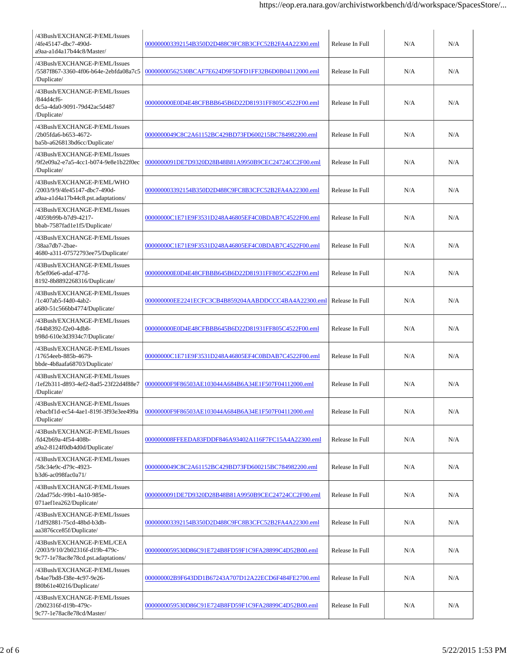| /43Bush/EXCHANGE-P/EML/Issues<br>/4fe45147-dbc7-490d-<br>a9aa-a1d4a17b44c8/Master/                 | 000000003392154B350D2D488C9FC8B3CFC52B2FA4A22300.eml | Release In Full | N/A | N/A |
|----------------------------------------------------------------------------------------------------|------------------------------------------------------|-----------------|-----|-----|
| /43Bush/EXCHANGE-P/EML/Issues<br>/5587f867-3360-4f06-b64e-2ebfda08a7c5<br>/Duplicate/              | 00000000562530BCAF7E624D9F5DFD1FF32B6D0B04112000.eml | Release In Full | N/A | N/A |
| /43Bush/EXCHANGE-P/EML/Issues<br>/844d4cf6-<br>dc5a-4da0-9091-79d42ac5d487<br>/Duplicate/          | 000000000E0D4E48CFBBB645B6D22D81931FF805C4522F00.eml | Release In Full | N/A | N/A |
| /43Bush/EXCHANGE-P/EML/Issues<br>/2b05fda6-b653-4672-<br>ba5b-a626813bd6cc/Duplicate/              | 0000000049C8C2A61152BC429BD73FD600215BC784982200.eml | Release In Full | N/A | N/A |
| /43Bush/EXCHANGE-P/EML/Issues<br>/9f2e09a2-e7a5-4cc1-b074-9e8e1b22f0ec<br>/Duplicate/              | 0000000091DE7D9320D28B48B81A9950B9CEC24724CC2F00.eml | Release In Full | N/A | N/A |
| /43Bush/EXCHANGE-P/EML/WHO<br>/2003/9/9/4fe45147-dbc7-490d-<br>a9aa-a1d4a17b44c8.pst.adaptations/  | 000000003392154B350D2D488C9FC8B3CFC52B2FA4A22300.eml | Release In Full | N/A | N/A |
| /43Bush/EXCHANGE-P/EML/Issues<br>/4059b99b-b7d9-4217-<br>bbab-7587fad1e1f5/Duplicate/              | 00000000C1E71E9F3531D248A46805EF4C0BDAB7C4522F00.eml | Release In Full | N/A | N/A |
| /43Bush/EXCHANGE-P/EML/Issues<br>/38aa7db7-2bae-<br>4680-a311-07572793ee75/Duplicate/              | 00000000C1E71E9F3531D248A46805EF4C0BDAB7C4522F00.eml | Release In Full | N/A | N/A |
| /43Bush/EXCHANGE-P/EML/Issues<br>/b5ef06e6-adaf-477d-<br>8192-8b8892268316/Duplicate/              | 000000000E0D4E48CFBBB645B6D22D81931FF805C4522F00.eml | Release In Full | N/A | N/A |
| /43Bush/EXCHANGE-P/EML/Issues<br>/1c407ab5-f4d0-4ab2-<br>a680-51c566bb4774/Duplicate/              | 000000000EE2241ECFC3CB4B859204AABDDCCC4BA4A22300.eml | Release In Full | N/A | N/A |
| /43Bush/EXCHANGE-P/EML/Issues<br>/f44b8392-f2e0-4db8-<br>b98d-610e3d3934c7/Duplicate/              | 000000000E0D4E48CFBBB645B6D22D81931FF805C4522F00.eml | Release In Full | N/A | N/A |
| /43Bush/EXCHANGE-P/EML/Issues<br>/17654eeb-885b-4679-<br>bbde-4b8aafa68703/Duplicate/              | 00000000C1E71E9F3531D248A46805EF4C0BDAB7C4522F00.eml | Release In Full | N/A | N/A |
| /43Bush/EXCHANGE-P/EML/Issues<br>/1ef2b311-d893-4ef2-8ad5-23f22d4f88e7<br>/Duplicate/              | 00000000F9F86503AE103044A684B6A34E1F507F04112000.eml | Release In Full | N/A | N/A |
| /43Bush/EXCHANGE-P/EML/Issues<br>/ebacbf1d-ec54-4ae1-819f-3f93e3ee499a<br>/Duplicate/              | 00000000F9F86503AE103044A684B6A34E1F507F04112000.eml | Release In Full | N/A | N/A |
| /43Bush/EXCHANGE-P/EML/Issues<br>/fd42b69a-4f54-408b-<br>a9a2-8124f0db4d0d/Duplicate/              | 000000008FFEEDA83FDDF846A93402A116F7FC15A4A22300.eml | Release In Full | N/A | N/A |
| /43Bush/EXCHANGE-P/EML/Issues<br>/58c34e9c-d79c-4923-<br>b3d6-ac098fac0a71/                        | 0000000049C8C2A61152BC429BD73FD600215BC784982200.eml | Release In Full | N/A | N/A |
| /43Bush/EXCHANGE-P/EML/Issues<br>/2dad75dc-99b1-4a10-985e-<br>071aef1ea262/Duplicate/              | 000000091DE7D9320D28B48B81A9950B9CEC24724CC2F00.eml  | Release In Full | N/A | N/A |
| /43Bush/EXCHANGE-P/EML/Issues<br>/1df92881-75cd-48bd-b3db-<br>aa3876cce85f/Duplicate/              | 000000003392154B350D2D488C9FC8B3CFC52B2FA4A22300.eml | Release In Full | N/A | N/A |
| /43Bush/EXCHANGE-P/EML/CEA<br>/2003/9/10/2b02316f-d19b-479c-<br>9c77-1e78ac8e78cd.pst.adaptations/ | 0000000059530D86C91E724B8FD59F1C9FA28899C4D52B00.eml | Release In Full | N/A | N/A |
| /43Bush/EXCHANGE-P/EML/Issues<br>/b4ae7bd8-f38e-4c97-9e26-<br>f80b61e40216/Duplicate/              | 000000002B9F643DD1B67243A707D12A22ECD6F484FE2700.eml | Release In Full | N/A | N/A |
| /43Bush/EXCHANGE-P/EML/Issues<br>/2b02316f-d19b-479c-<br>9c77-1e78ac8e78cd/Master/                 | 0000000059530D86C91E724B8FD59F1C9FA28899C4D52B00.eml | Release In Full | N/A | N/A |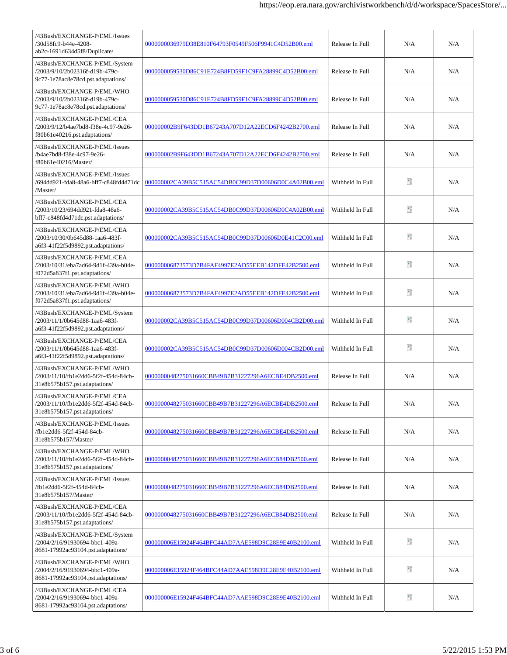| /43Bush/EXCHANGE-P/EML/Issues<br>/30d58fc9-b44e-4208-<br>ab2c-1691d634d5f8/Duplicate/                 | 0000000036979D38E810F64793F0549F506F9941C4D52B00.eml | Release In Full  | N/A | N/A |
|-------------------------------------------------------------------------------------------------------|------------------------------------------------------|------------------|-----|-----|
| /43Bush/EXCHANGE-P/EML/System<br>/2003/9/10/2b02316f-d19b-479c-<br>9c77-1e78ac8e78cd.pst.adaptations/ | 0000000059530D86C91E724B8FD59F1C9FA28899C4D52B00.eml | Release In Full  | N/A | N/A |
| /43Bush/EXCHANGE-P/EML/WHO<br>/2003/9/10/2b02316f-d19b-479c-<br>9c77-1e78ac8e78cd.pst.adaptations/    | 0000000059530D86C91E724B8FD59F1C9FA28899C4D52B00.eml | Release In Full  | N/A | N/A |
| /43Bush/EXCHANGE-P/EML/CEA<br>/2003/9/12/b4ae7bd8-f38e-4c97-9e26-<br>f80b61e40216.pst.adaptations/    | 000000002B9F643DD1B67243A707D12A22ECD6F4242B2700.eml | Release In Full  | N/A | N/A |
| /43Bush/EXCHANGE-P/EML/Issues<br>/b4ae7bd8-f38e-4c97-9e26-<br>f80b61e40216/Master/                    | 000000002B9F643DD1B67243A707D12A22ECD6F4242B2700.eml | Release In Full  | N/A | N/A |
| /43Bush/EXCHANGE-P/EML/Issues<br>/694dd921-fda8-48a6-bff7-c848fd4d71dc<br>/Master/                    | 000000002CA39B5C515AC54DB0C99D37D00606D0C4A02B00.eml | Withheld In Full | Đ   | N/A |
| /43Bush/EXCHANGE-P/EML/CEA<br>/2003/10/23/694dd921-fda8-48a6-<br>bff7-c848fd4d71dc.pst.adaptations/   | 000000002CA39B5C515AC54DB0C99D37D00606D0C4A02B00.eml | Withheld In Full | Đ   | N/A |
| /43Bush/EXCHANGE-P/EML/CEA<br>/2003/10/30/0b645d88-1aa6-483f-<br>a6f3-41f22f5d9892.pst.adaptations/   | 000000002CA39B5C515AC54DB0C99D37D00606D0E41C2C00.eml | Withheld In Full | 醋   | N/A |
| /43Bush/EXCHANGE-P/EML/CEA<br>/2003/10/31/eba7ad64-9d1f-439a-b04e-<br>f072d5a837f1.pst.adaptations/   | 000000006873573D7B4FAF4997E2AD55EEB142DFE42B2500.eml | Withheld In Full | Đ   | N/A |
| /43Bush/EXCHANGE-P/EML/WHO<br>/2003/10/31/eba7ad64-9d1f-439a-b04e-<br>f072d5a837f1.pst.adaptations/   | 000000006873573D7B4FAF4997E2AD55EEB142DFE42B2500.eml | Withheld In Full | 暗   | N/A |
| /43Bush/EXCHANGE-P/EML/System<br>/2003/11/1/0b645d88-1aa6-483f-<br>a6f3-41f22f5d9892.pst.adaptations/ | 000000002CA39B5C515AC54DB0C99D37D00606D004CB2D00.eml | Withheld In Full | 醋   | N/A |
| /43Bush/EXCHANGE-P/EML/CEA<br>/2003/11/1/0b645d88-1aa6-483f-<br>a6f3-41f22f5d9892.pst.adaptations/    | 000000002CA39B5C515AC54DB0C99D37D00606D004CB2D00.eml | Withheld In Full | Đ   | N/A |
| /43Bush/EXCHANGE-P/EML/WHO<br>/2003/11/10/fb1e2dd6-5f2f-454d-84cb-<br>31e8b575b157.pst.adaptations/   | 0000000048275031660CBB49B7B31227296A6ECBE4DB2500.eml | Release In Full  | N/A | N/A |
| /43Bush/EXCHANGE-P/EML/CEA<br>/2003/11/10/fb1e2dd6-5f2f-454d-84cb-<br>31e8b575b157.pst.adaptations/   | 0000000048275031660CBB49B7B31227296A6ECBE4DB2500.eml | Release In Full  | N/A | N/A |
| /43Bush/EXCHANGE-P/EML/Issues<br>/fb1e2dd6-5f2f-454d-84cb-<br>31e8b575b157/Master/                    | 0000000048275031660CBB49B7B31227296A6ECBE4DB2500.eml | Release In Full  | N/A | N/A |
| /43Bush/EXCHANGE-P/EML/WHO<br>/2003/11/10/fb1e2dd6-5f2f-454d-84cb-<br>31e8b575b157.pst.adaptations/   | 0000000048275031660CBB49B7B31227296A6ECB84DB2500.eml | Release In Full  | N/A | N/A |
| /43Bush/EXCHANGE-P/EML/Issues<br>/fb1e2dd6-5f2f-454d-84cb-<br>31e8b575b157/Master/                    | 0000000048275031660CBB49B7B31227296A6ECB84DB2500.eml | Release In Full  | N/A | N/A |
| /43Bush/EXCHANGE-P/EML/CEA<br>/2003/11/10/fb1e2dd6-5f2f-454d-84cb-<br>31e8b575b157.pst.adaptations/   | 0000000048275031660CBB49B7B31227296A6ECB84DB2500.eml | Release In Full  | N/A | N/A |
| /43Bush/EXCHANGE-P/EML/System<br>/2004/2/16/91930694-bbc1-409a-<br>8681-17992ac93104.pst.adaptations/ | 000000006E15924F464BFC44AD7AAE598D9C28E9E40B2100.eml | Withheld In Full | 暗   | N/A |
| /43Bush/EXCHANGE-P/EML/WHO<br>/2004/2/16/91930694-bbc1-409a-<br>8681-17992ac93104.pst.adaptations/    | 000000006E15924F464BFC44AD7AAE598D9C28E9E40B2100.eml | Withheld In Full | 暗   | N/A |
| /43Bush/EXCHANGE-P/EML/CEA<br>/2004/2/16/91930694-bbc1-409a-<br>8681-17992ac93104.pst.adaptations/    | 000000006E15924F464BFC44AD7AAE598D9C28E9E40B2100.eml | Withheld In Full | Đ   | N/A |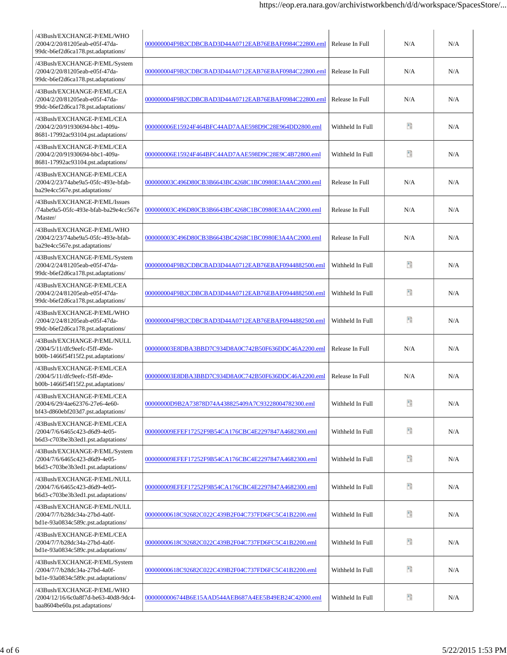| /43Bush/EXCHANGE-P/EML/WHO<br>/2004/2/20/81205eab-e05f-47da-<br>99dc-b6ef2d6ca178.pst.adaptations/    | 000000004F9B2CDBCBAD3D44A0712EAB76EBAF0984C22800.eml | Release In Full  | N/A | N/A |
|-------------------------------------------------------------------------------------------------------|------------------------------------------------------|------------------|-----|-----|
| /43Bush/EXCHANGE-P/EML/System<br>/2004/2/20/81205eab-e05f-47da-<br>99dc-b6ef2d6ca178.pst.adaptations/ | 000000004F9B2CDBCBAD3D44A0712EAB76EBAF0984C22800.eml | Release In Full  | N/A | N/A |
| /43Bush/EXCHANGE-P/EML/CEA<br>/2004/2/20/81205eab-e05f-47da-<br>99dc-b6ef2d6ca178.pst.adaptations/    | 000000004F9B2CDBCBAD3D44A0712EAB76EBAF0984C22800.eml | Release In Full  | N/A | N/A |
| /43Bush/EXCHANGE-P/EML/CEA<br>/2004/2/20/91930694-bbc1-409a-<br>8681-17992ac93104.pst.adaptations/    | 000000006E15924F464BFC44AD7AAE598D9C28E964DD2800.eml | Withheld In Full | эà  | N/A |
| /43Bush/EXCHANGE-P/EML/CEA<br>/2004/2/20/91930694-bbc1-409a-<br>8681-17992ac93104.pst.adaptations/    | 000000006E15924F464BFC44AD7AAE598D9C28E9C4B72800.eml | Withheld In Full | эà  | N/A |
| /43Bush/EXCHANGE-P/EML/CEA<br>/2004/2/23/74abe9a5-05fc-493e-bfab-<br>ba29e4cc567e.pst.adaptations/    | 000000003C496D80CB3B6643BC4268C1BC0980E3A4AC2000.eml | Release In Full  | N/A | N/A |
| /43Bush/EXCHANGE-P/EML/Issues<br>/74abe9a5-05fc-493e-bfab-ba29e4cc567e<br>/Master/                    | 000000003C496D80CB3B6643BC4268C1BC0980E3A4AC2000.eml | Release In Full  | N/A | N/A |
| /43Bush/EXCHANGE-P/EML/WHO<br>/2004/2/23/74abe9a5-05fc-493e-bfab-<br>ba29e4cc567e.pst.adaptations/    | 000000003C496D80CB3B6643BC4268C1BC0980E3A4AC2000.eml | Release In Full  | N/A | N/A |
| /43Bush/EXCHANGE-P/EML/System<br>/2004/2/24/81205eab-e05f-47da-<br>99dc-b6ef2d6ca178.pst.adaptations/ | 000000004F9B2CDBCBAD3D44A0712EAB76EBAF0944882500.eml | Withheld In Full | Ŧ   | N/A |
| /43Bush/EXCHANGE-P/EML/CEA<br>/2004/2/24/81205eab-e05f-47da-<br>99dc-b6ef2d6ca178.pst.adaptations/    | 000000004F9B2CDBCBAD3D44A0712EAB76EBAF0944882500.eml | Withheld In Full | эà  | N/A |
| /43Bush/EXCHANGE-P/EML/WHO<br>/2004/2/24/81205eab-e05f-47da-<br>99dc-b6ef2d6ca178.pst.adaptations/    | 000000004F9B2CDBCBAD3D44A0712EAB76EBAF0944882500.eml | Withheld In Full | эà  | N/A |
| /43Bush/EXCHANGE-P/EML/NULL<br>/2004/5/11/dfc9eefc-f5ff-49de-<br>b00b-1466f54f15f2.pst.adaptations/   | 000000003E8DBA3BBD7C934D8A0C742B50F636DDC46A2200.eml | Release In Full  | N/A | N/A |
| /43Bush/EXCHANGE-P/EML/CEA<br>/2004/5/11/dfc9eefc-f5ff-49de-<br>b00b-1466f54f15f2.pst.adaptations/    | 000000003E8DBA3BBD7C934D8A0C742B50F636DDC46A2200.eml | Release In Full  | N/A | N/A |
| /43Bush/EXCHANGE-P/EML/CEA<br>/2004/6/29/4ae62376-27e6-4e60-<br>bf43-d860ebf203d7.pst.adaptations/    | 00000000D9B2A73878D74A438825409A7C93228004782300.eml | Withheld In Full | 뫱   | N/A |
| /43Bush/EXCHANGE-P/EML/CEA<br>/2004/7/6/6465c423-d6d9-4e05-<br>b6d3-c703be3b3ed1.pst.adaptations/     | 000000009EFEF17252F9B54CA176CBC4E2297847A4682300.eml | Withheld In Full | 醋   | N/A |
| /43Bush/EXCHANGE-P/EML/System<br>/2004/7/6/6465c423-d6d9-4e05-<br>b6d3-c703be3b3ed1.pst.adaptations/  | 000000009EFEF17252F9B54CA176CBC4E2297847A4682300.eml | Withheld In Full | a.  | N/A |
| /43Bush/EXCHANGE-P/EML/NULL<br>/2004/7/6/6465c423-d6d9-4e05-<br>b6d3-c703be3b3ed1.pst.adaptations/    | 000000009EFEF17252F9B54CA176CBC4E2297847A4682300.eml | Withheld In Full | a.  | N/A |
| /43Bush/EXCHANGE-P/EML/NULL<br>/2004/7/7/b28dc34a-27bd-4a0f-<br>bd1e-93a0834c589c.pst.adaptations/    | 00000000618C92682C022C439B2F04C737FD6FC5C41B2200.eml | Withheld In Full | 醋   | N/A |
| /43Bush/EXCHANGE-P/EML/CEA<br>/2004/7/7/b28dc34a-27bd-4a0f-<br>bd1e-93a0834c589c.pst.adaptations/     | 00000000618C92682C022C439B2F04C737FD6FC5C41B2200.eml | Withheld In Full | 뫱   | N/A |
| /43Bush/EXCHANGE-P/EML/System<br>/2004/7/7/b28dc34a-27bd-4a0f-<br>bd1e-93a0834c589c.pst.adaptations/  | 00000000618C92682C022C439B2F04C737FD6FC5C41B2200.eml | Withheld In Full | 醋   | N/A |
| /43Bush/EXCHANGE-P/EML/WHO<br>/2004/12/16/6c0a8f7d-be63-40d8-9dc4-<br>baa8604be60a.pst.adaptations/   | 0000000006744B6E15AAD544AEB687A4EE5B49EB24C42000.eml | Withheld In Full | Đ   | N/A |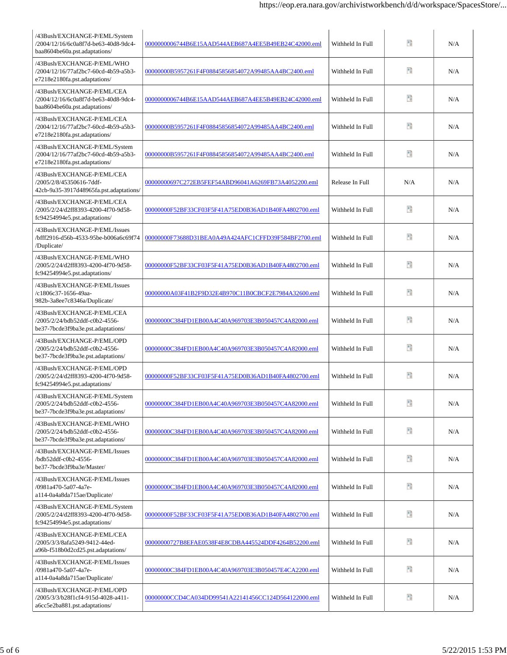| /43Bush/EXCHANGE-P/EML/System<br>/2004/12/16/6c0a8f7d-be63-40d8-9dc4-<br>baa8604be60a.pst.adaptations/ | 0000000006744B6E15AAD544AEB687A4EE5B49EB24C42000.eml | Withheld In Full | 情   | N/A |
|--------------------------------------------------------------------------------------------------------|------------------------------------------------------|------------------|-----|-----|
| /43Bush/EXCHANGE-P/EML/WHO<br>/2004/12/16/77af2bc7-60cd-4b59-a5b3-<br>e7218e2180fa.pst.adaptations/    | 00000000B5957261F4F08845856854072A99485AA4BC2400.eml | Withheld In Full | 醋   | N/A |
| /43Bush/EXCHANGE-P/EML/CEA<br>/2004/12/16/6c0a8f7d-be63-40d8-9dc4-<br>baa8604be60a.pst.adaptations/    | 0000000006744B6E15AAD544AEB687A4EE5B49EB24C42000.eml | Withheld In Full | Đ   | N/A |
| /43Bush/EXCHANGE-P/EML/CEA<br>/2004/12/16/77af2bc7-60cd-4b59-a5b3-<br>e7218e2180fa.pst.adaptations/    | 00000000B5957261F4F08845856854072A99485AA4BC2400.eml | Withheld In Full | 暗   | N/A |
| /43Bush/EXCHANGE-P/EML/System<br>/2004/12/16/77af2bc7-60cd-4b59-a5b3-<br>e7218e2180fa.pst.adaptations/ | 00000000B5957261F4F08845856854072A99485AA4BC2400.eml | Withheld In Full | 醋   | N/A |
| /43Bush/EXCHANGE-P/EML/CEA<br>/2005/2/8/45350616-7ddf-<br>42cb-9a35-3917d48965fa.pst.adaptations/      | 00000000697C272EB5FEF54ABD96041A6269FB73A4052200.eml | Release In Full  | N/A | N/A |
| /43Bush/EXCHANGE-P/EML/CEA<br>/2005/2/24/d2ff8393-4200-4f70-9d58-<br>fc94254994e5.pst.adaptations/     | 00000000F52BF33CF03F5F41A75ED0B36AD1B40FA4802700.eml | Withheld In Full | 暗   | N/A |
| /43Bush/EXCHANGE-P/EML/Issues<br>/bfff2916-d56b-4533-95be-b006a6c69f74<br>/Duplicate/                  | 00000000F73688D31BEA0A49A424AFC1CFFD39F584BF2700.eml | Withheld In Full | 醋   | N/A |
| /43Bush/EXCHANGE-P/EML/WHO<br>/2005/2/24/d2ff8393-4200-4f70-9d58-<br>fc94254994e5.pst.adaptations/     | 00000000F52BF33CF03F5F41A75ED0B36AD1B40FA4802700.eml | Withheld In Full | Đ   | N/A |
| /43Bush/EXCHANGE-P/EML/Issues<br>/c1806c37-1656-49aa-<br>982b-3a8ee7c8346a/Duplicate/                  | 00000000A03F41B2F9D32E4B970C11B0CBCF2E7984A32600.eml | Withheld In Full | 暗   | N/A |
| /43Bush/EXCHANGE-P/EML/CEA<br>/2005/2/24/bdb52ddf-c0b2-4556-<br>be37-7bcde3f9ba3e.pst.adaptations/     | 00000000C384FD1EB00A4C40A969703E3B050457C4A82000.eml | Withheld In Full | 醋   | N/A |
| /43Bush/EXCHANGE-P/EML/OPD<br>/2005/2/24/bdb52ddf-c0b2-4556-<br>be37-7bcde3f9ba3e.pst.adaptations/     | 00000000C384FD1EB00A4C40A969703E3B050457C4A82000.eml | Withheld In Full | Đ   | N/A |
| /43Bush/EXCHANGE-P/EML/OPD<br>/2005/2/24/d2ff8393-4200-4f70-9d58-<br>fc94254994e5.pst.adaptations/     | 00000000F52BF33CF03F5F41A75ED0B36AD1B40FA4802700.eml | Withheld In Full | 暗   | N/A |
| /43Bush/EXCHANGE-P/EML/System<br>/2005/2/24/bdb52ddf-c0b2-4556-<br>be37-7bcde3f9ba3e.pst.adaptations/  | 00000000C384FD1EB00A4C40A969703E3B050457C4A82000.eml | Withheld In Full | 醋   | N/A |
| /43Bush/EXCHANGE-P/EML/WHO<br>/2005/2/24/bdb52ddf-c0b2-4556-<br>be37-7bcde3f9ba3e.pst.adaptations/     | 00000000C384FD1EB00A4C40A969703E3B050457C4A82000.eml | Withheld In Full | Đ   | N/A |
| /43Bush/EXCHANGE-P/EML/Issues<br>/bdb52ddf-c0b2-4556-<br>be37-7bcde3f9ba3e/Master/                     | 00000000C384FD1EB00A4C40A969703E3B050457C4A82000.eml | Withheld In Full | 暗   | N/A |
| /43Bush/EXCHANGE-P/EML/Issues<br>/0981a470-5a07-4a7e-<br>a114-0a4a8da715ae/Duplicate/                  | 00000000C384FD1EB00A4C40A969703E3B050457C4A82000.eml | Withheld In Full | 暗   | N/A |
| /43Bush/EXCHANGE-P/EML/System<br>/2005/2/24/d2ff8393-4200-4f70-9d58-<br>fc94254994e5.pst.adaptations/  | 00000000F52BF33CF03F5F41A75ED0B36AD1B40FA4802700.eml | Withheld In Full | Đ   | N/A |
| /43Bush/EXCHANGE-P/EML/CEA<br>/2005/3/3/8afa5249-9412-44ed-<br>a96b-f518b0d2cd25.pst.adaptations/      | 00000000727B8EFAE0538F4E8CDBA445524DDF4264B52200.eml | Withheld In Full | 暗   | N/A |
| /43Bush/EXCHANGE-P/EML/Issues<br>/0981a470-5a07-4a7e-<br>a114-0a4a8da715ae/Duplicate/                  | 00000000C384FD1EB00A4C40A969703E3B050457E4CA2200.eml | Withheld In Full | 暗   | N/A |
| /43Bush/EXCHANGE-P/EML/OPD<br>/2005/3/3/b28f1cf4-915d-4028-a411-<br>a6cc5e2ba881.pst.adaptations/      | 00000000CCD4CA034DD99541A22141456CC124D564122000.eml | Withheld In Full | Đ   | N/A |